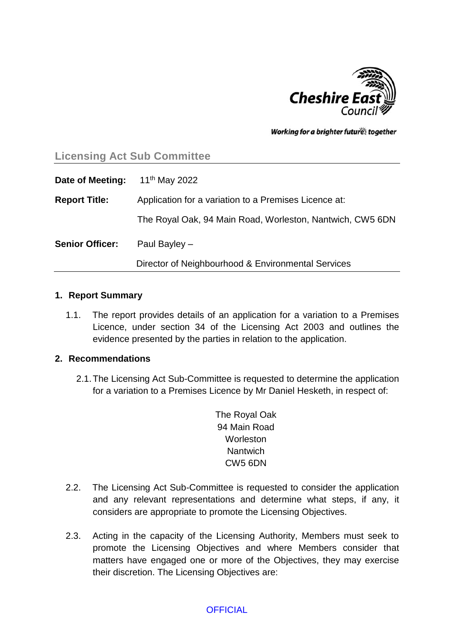

Working for a brighter futures together

# **Licensing Act Sub Committee**

| Date of Meeting:       | 11 <sup>th</sup> May 2022                                 |  |
|------------------------|-----------------------------------------------------------|--|
| <b>Report Title:</b>   | Application for a variation to a Premises Licence at:     |  |
|                        | The Royal Oak, 94 Main Road, Worleston, Nantwich, CW5 6DN |  |
| <b>Senior Officer:</b> | Paul Bayley $-$                                           |  |
|                        | Director of Neighbourhood & Environmental Services        |  |

#### **1. Report Summary**

1.1. The report provides details of an application for a variation to a Premises Licence, under section 34 of the Licensing Act 2003 and outlines the evidence presented by the parties in relation to the application.

#### **2. Recommendations**

- 2.1.The Licensing Act Sub-Committee is requested to determine the application for a variation to a Premises Licence by Mr Daniel Hesketh, in respect of:
	- The Royal Oak 94 Main Road **Worleston Nantwich** CW5 6DN
- 2.2. The Licensing Act Sub-Committee is requested to consider the application and any relevant representations and determine what steps, if any, it considers are appropriate to promote the Licensing Objectives.
- 2.3. Acting in the capacity of the Licensing Authority, Members must seek to promote the Licensing Objectives and where Members consider that matters have engaged one or more of the Objectives, they may exercise their discretion. The Licensing Objectives are: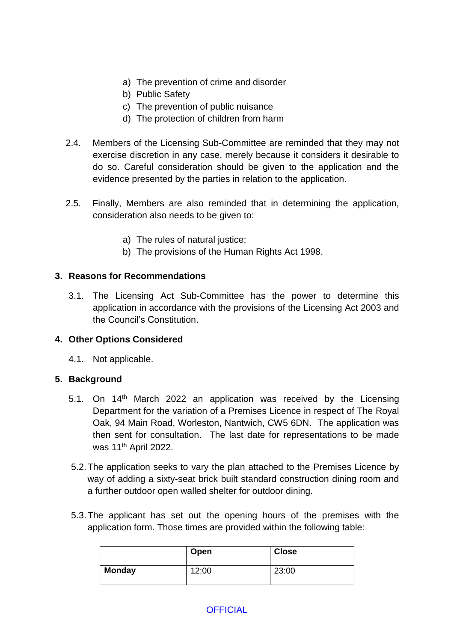- a) The prevention of crime and disorder
- b) Public Safety
- c) The prevention of public nuisance
- d) The protection of children from harm
- 2.4. Members of the Licensing Sub-Committee are reminded that they may not exercise discretion in any case, merely because it considers it desirable to do so. Careful consideration should be given to the application and the evidence presented by the parties in relation to the application.
- 2.5. Finally, Members are also reminded that in determining the application, consideration also needs to be given to:
	- a) The rules of natural justice;
	- b) The provisions of the Human Rights Act 1998.

### **3. Reasons for Recommendations**

3.1. The Licensing Act Sub-Committee has the power to determine this application in accordance with the provisions of the Licensing Act 2003 and the Council's Constitution.

### **4. Other Options Considered**

4.1. Not applicable.

### **5. Background**

- 5.1. On 14<sup>th</sup> March 2022 an application was received by the Licensing Department for the variation of a Premises Licence in respect of The Royal Oak, 94 Main Road, Worleston, Nantwich, CW5 6DN. The application was then sent for consultation. The last date for representations to be made was 11th April 2022.
- 5.2.The application seeks to vary the plan attached to the Premises Licence by way of adding a sixty-seat brick built standard construction dining room and a further outdoor open walled shelter for outdoor dining.
- 5.3.The applicant has set out the opening hours of the premises with the application form. Those times are provided within the following table:

|               | Open  | <b>Close</b> |
|---------------|-------|--------------|
| <b>Monday</b> | 12:00 | 23:00        |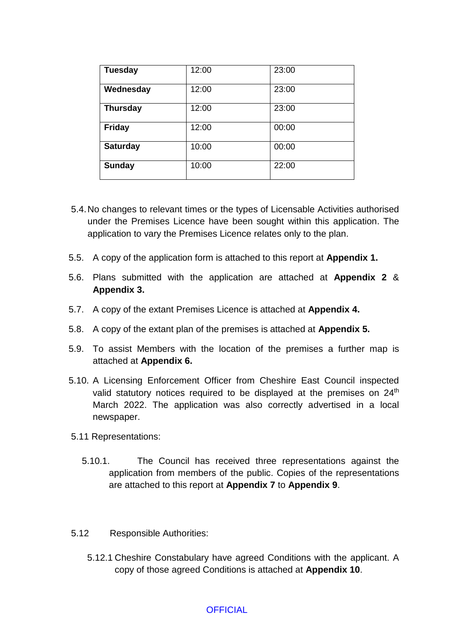| <b>Tuesday</b>  | 12:00 | 23:00 |
|-----------------|-------|-------|
| Wednesday       | 12:00 | 23:00 |
| <b>Thursday</b> | 12:00 | 23:00 |
| <b>Friday</b>   | 12:00 | 00:00 |
| <b>Saturday</b> | 10:00 | 00:00 |
| <b>Sunday</b>   | 10:00 | 22:00 |

- 5.4.No changes to relevant times or the types of Licensable Activities authorised under the Premises Licence have been sought within this application. The application to vary the Premises Licence relates only to the plan.
- 5.5. A copy of the application form is attached to this report at **Appendix 1.**
- 5.6. Plans submitted with the application are attached at **Appendix 2** & **Appendix 3.**
- 5.7. A copy of the extant Premises Licence is attached at **Appendix 4.**
- 5.8. A copy of the extant plan of the premises is attached at **Appendix 5.**
- 5.9. To assist Members with the location of the premises a further map is attached at **Appendix 6.**
- 5.10. A Licensing Enforcement Officer from Cheshire East Council inspected valid statutory notices required to be displayed at the premises on 24<sup>th</sup> March 2022. The application was also correctly advertised in a local newspaper.
- 5.11 Representations:
	- 5.10.1. The Council has received three representations against the application from members of the public. Copies of the representations are attached to this report at **Appendix 7** to **Appendix 9**.
- 5.12 Responsible Authorities:
	- 5.12.1 Cheshire Constabulary have agreed Conditions with the applicant. A copy of those agreed Conditions is attached at **Appendix 10**.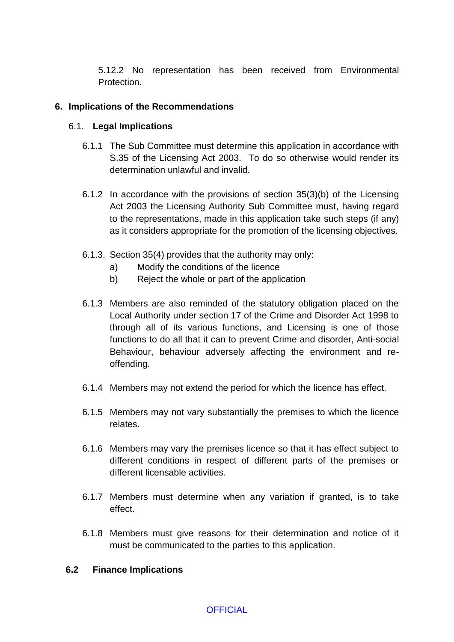5.12.2 No representation has been received from Environmental Protection.

#### **6. Implications of the Recommendations**

#### 6.1. **Legal Implications**

- 6.1.1 The Sub Committee must determine this application in accordance with S.35 of the Licensing Act 2003. To do so otherwise would render its determination unlawful and invalid.
- 6.1.2 In accordance with the provisions of section 35(3)(b) of the Licensing Act 2003 the Licensing Authority Sub Committee must, having regard to the representations, made in this application take such steps (if any) as it considers appropriate for the promotion of the licensing objectives.
- 6.1.3. Section 35(4) provides that the authority may only:
	- a) Modify the conditions of the licence
	- b) Reject the whole or part of the application
- 6.1.3 Members are also reminded of the statutory obligation placed on the Local Authority under section 17 of the Crime and Disorder Act 1998 to through all of its various functions, and Licensing is one of those functions to do all that it can to prevent Crime and disorder, Anti-social Behaviour, behaviour adversely affecting the environment and reoffending.
- 6.1.4 Members may not extend the period for which the licence has effect.
- 6.1.5 Members may not vary substantially the premises to which the licence relates.
- 6.1.6 Members may vary the premises licence so that it has effect subject to different conditions in respect of different parts of the premises or different licensable activities.
- 6.1.7 Members must determine when any variation if granted, is to take effect.
- 6.1.8 Members must give reasons for their determination and notice of it must be communicated to the parties to this application.

#### **6.2 Finance Implications**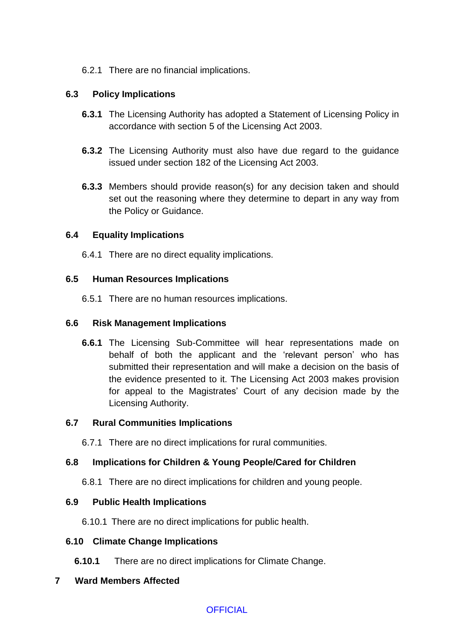### 6.2.1 There are no financial implications.

## **6.3 Policy Implications**

- **6.3.1** The Licensing Authority has adopted a Statement of Licensing Policy in accordance with section 5 of the Licensing Act 2003.
- **6.3.2** The Licensing Authority must also have due regard to the guidance issued under section 182 of the Licensing Act 2003.
- **6.3.3** Members should provide reason(s) for any decision taken and should set out the reasoning where they determine to depart in any way from the Policy or Guidance.

### **6.4 Equality Implications**

6.4.1 There are no direct equality implications.

## **6.5 Human Resources Implications**

6.5.1 There are no human resources implications.

## **6.6 Risk Management Implications**

**6.6.1** The Licensing Sub-Committee will hear representations made on behalf of both the applicant and the 'relevant person' who has submitted their representation and will make a decision on the basis of the evidence presented to it. The Licensing Act 2003 makes provision for appeal to the Magistrates' Court of any decision made by the Licensing Authority.

### **6.7 Rural Communities Implications**

6.7.1 There are no direct implications for rural communities.

# **6.8 Implications for Children & Young People/Cared for Children**

6.8.1 There are no direct implications for children and young people.

### **6.9 Public Health Implications**

6.10.1 There are no direct implications for public health.

### **6.10 Climate Change Implications**

**6.10.1** There are no direct implications for Climate Change.

### **7 Ward Members Affected**